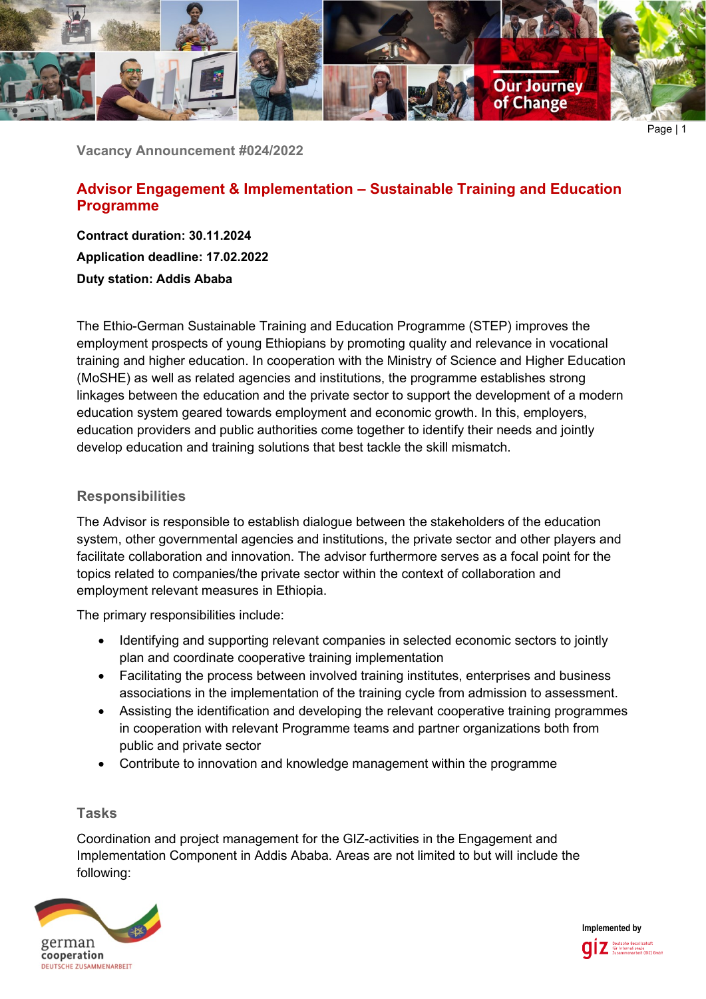

Page | 1

**Vacancy Announcement #024/2022**

# **Advisor Engagement & Implementation – Sustainable Training and Education Programme**

**Contract duration: 30.11.2024 Application deadline: 17.02.2022 Duty station: Addis Ababa**

The Ethio-German Sustainable Training and Education Programme (STEP) improves the employment prospects of young Ethiopians by promoting quality and relevance in vocational training and higher education. In cooperation with the Ministry of Science and Higher Education (MoSHE) as well as related agencies and institutions, the programme establishes strong linkages between the education and the private sector to support the development of a modern education system geared towards employment and economic growth. In this, employers, education providers and public authorities come together to identify their needs and jointly develop education and training solutions that best tackle the skill mismatch.

### **Responsibilities**

The Advisor is responsible to establish dialogue between the stakeholders of the education system, other governmental agencies and institutions, the private sector and other players and facilitate collaboration and innovation. The advisor furthermore serves as a focal point for the topics related to companies/the private sector within the context of collaboration and employment relevant measures in Ethiopia.

The primary responsibilities include:

- Identifying and supporting relevant companies in selected economic sectors to jointly plan and coordinate cooperative training implementation
- Facilitating the process between involved training institutes, enterprises and business associations in the implementation of the training cycle from admission to assessment.
- Assisting the identification and developing the relevant cooperative training programmes in cooperation with relevant Programme teams and partner organizations both from public and private sector
- Contribute to innovation and knowledge management within the programme

## **Tasks**

Coordination and project management for the GIZ-activities in the Engagement and Implementation Component in Addis Ababa. Areas are not limited to but will include the following:



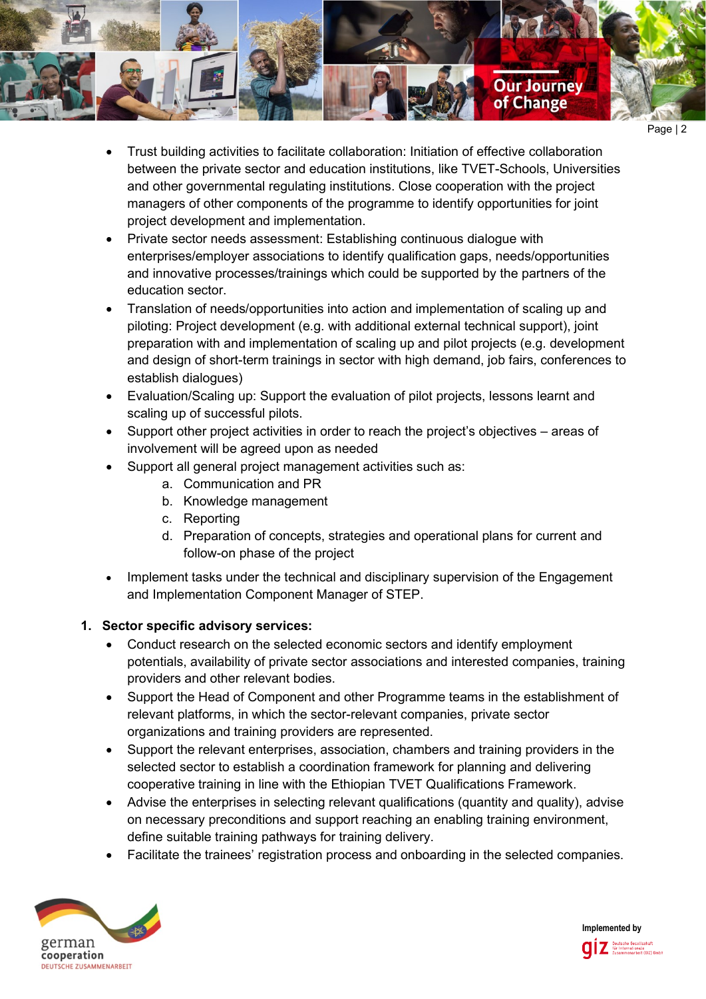

- Page | 2
- Trust building activities to facilitate collaboration: Initiation of effective collaboration between the private sector and education institutions, like TVET-Schools, Universities and other governmental regulating institutions. Close cooperation with the project managers of other components of the programme to identify opportunities for joint project development and implementation.
- Private sector needs assessment: Establishing continuous dialogue with enterprises/employer associations to identify qualification gaps, needs/opportunities and innovative processes/trainings which could be supported by the partners of the education sector.
- Translation of needs/opportunities into action and implementation of scaling up and piloting: Project development (e.g. with additional external technical support), joint preparation with and implementation of scaling up and pilot projects (e.g. development and design of short-term trainings in sector with high demand, job fairs, conferences to establish dialogues)
- Evaluation/Scaling up: Support the evaluation of pilot projects, lessons learnt and scaling up of successful pilots.
- Support other project activities in order to reach the project's objectives areas of involvement will be agreed upon as needed
- Support all general project management activities such as:
	- a. Communication and PR
	- b. Knowledge management
	- c. Reporting
	- d. Preparation of concepts, strategies and operational plans for current and follow-on phase of the project
- Implement tasks under the technical and disciplinary supervision of the Engagement and Implementation Component Manager of STEP.

## **1. Sector specific advisory services:**

- Conduct research on the selected economic sectors and identify employment potentials, availability of private sector associations and interested companies, training providers and other relevant bodies.
- Support the Head of Component and other Programme teams in the establishment of relevant platforms, in which the sector-relevant companies, private sector organizations and training providers are represented.
- Support the relevant enterprises, association, chambers and training providers in the selected sector to establish a coordination framework for planning and delivering cooperative training in line with the Ethiopian TVET Qualifications Framework.
- Advise the enterprises in selecting relevant qualifications (quantity and quality), advise on necessary preconditions and support reaching an enabling training environment, define suitable training pathways for training delivery.
- Facilitate the trainees' registration process and onboarding in the selected companies.



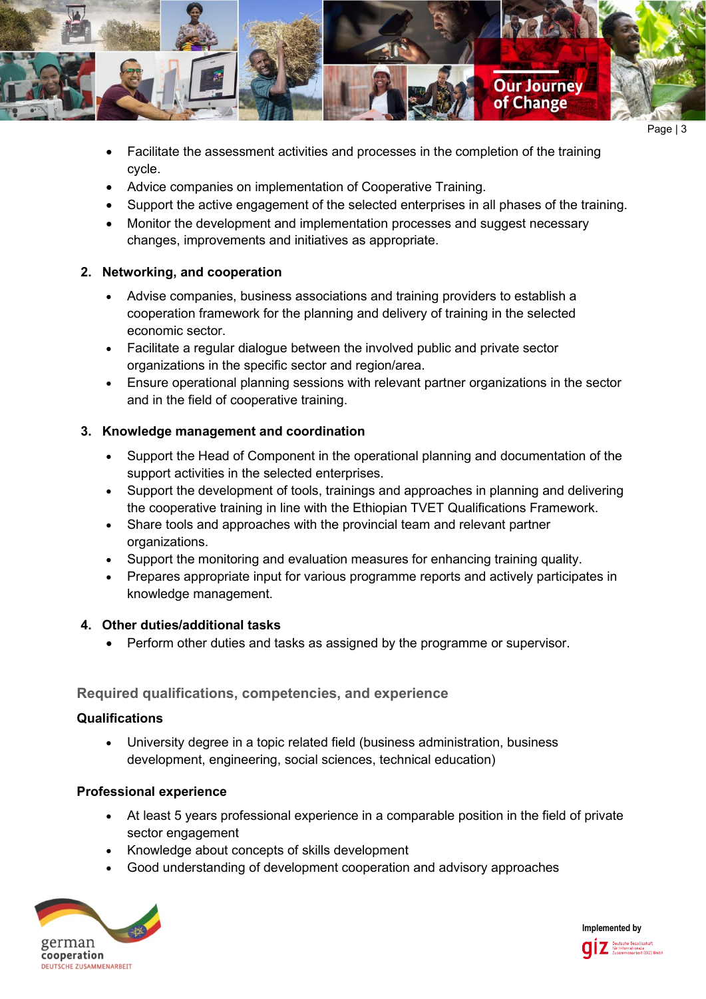

Page | 3

- Facilitate the assessment activities and processes in the completion of the training cycle.
- Advice companies on implementation of Cooperative Training.
- Support the active engagement of the selected enterprises in all phases of the training.
- Monitor the development and implementation processes and suggest necessary changes, improvements and initiatives as appropriate.

## **2. Networking, and cooperation**

- Advise companies, business associations and training providers to establish a cooperation framework for the planning and delivery of training in the selected economic sector.
- Facilitate a regular dialogue between the involved public and private sector organizations in the specific sector and region/area.
- Ensure operational planning sessions with relevant partner organizations in the sector and in the field of cooperative training.

## **3. Knowledge management and coordination**

- Support the Head of Component in the operational planning and documentation of the support activities in the selected enterprises.
- Support the development of tools, trainings and approaches in planning and delivering the cooperative training in line with the Ethiopian TVET Qualifications Framework.
- Share tools and approaches with the provincial team and relevant partner organizations.
- Support the monitoring and evaluation measures for enhancing training quality.
- Prepares appropriate input for various programme reports and actively participates in knowledge management.

## **4. Other duties/additional tasks**

• Perform other duties and tasks as assigned by the programme or supervisor.

# **Required qualifications, competencies, and experience**

## **Qualifications**

• University degree in a topic related field (business administration, business development, engineering, social sciences, technical education)

## **Professional experience**

- At least 5 years professional experience in a comparable position in the field of private sector engagement
- Knowledge about concepts of skills development
- Good understanding of development cooperation and advisory approaches